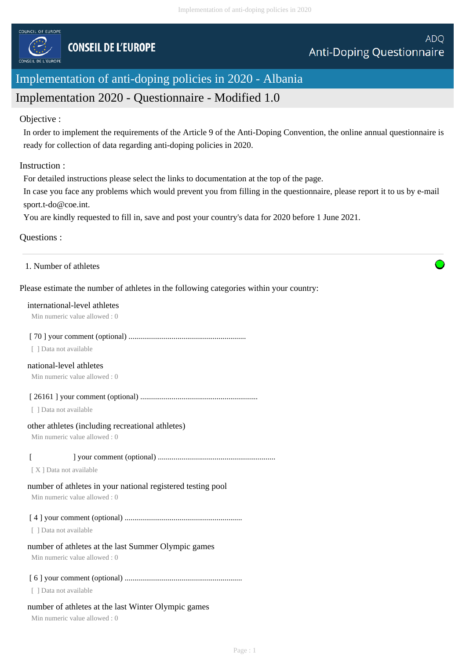

# Implementation of anti-doping policies in 2020 - Albania

# Implementation 2020 - Questionnaire - Modified 1.0

#### Objective :

In order to implement the requirements of the Article 9 of the Anti-Doping Convention, the online annual questionnaire is ready for collection of data regarding anti-doping policies in 2020.

#### Instruction :

For detailed instructions please select the links to documentation at the top of the page.

In case you face any problems which would prevent you from filling in the questionnaire, please report it to us by e-mail sport.t-do@coe.int.

You are kindly requested to fill in, save and post your country's data for 2020 before 1 June 2021.

## Questions :

#### 1. Number of athletes

## Please estimate the number of athletes in the following categories within your country:

#### international-level athletes

Min numeric value allowed : 0

#### [ 70 ] your comment (optional) ............................................................

[ ] Data not available

# national-level athletes

Min numeric value allowed : 0

[ 26161 ] your comment (optional) ............................................................

[ ] Data not available

#### other athletes (including recreational athletes)

Min numeric value allowed : 0

# [ ] your comment (optional) ............................................................

[ X ] Data not available

# number of athletes in your national registered testing pool

Min numeric value allowed : 0

[ 4 ] your comment (optional) ............................................................

[ ] Data not available

# number of athletes at the last Summer Olympic games

Min numeric value allowed : 0

# [ 6 ] your comment (optional) ............................................................

[ ] Data not available

# number of athletes at the last Winter Olympic games

Min numeric value allowed : 0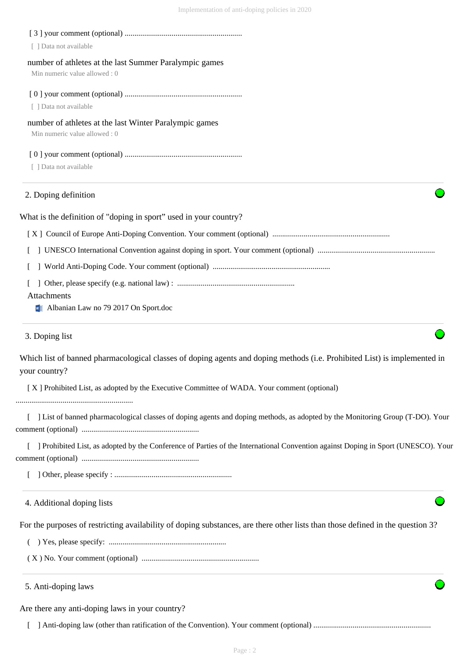| [ ] Data not available                                                                                                                     |
|--------------------------------------------------------------------------------------------------------------------------------------------|
| number of athletes at the last Summer Paralympic games<br>Min numeric value allowed: 0                                                     |
|                                                                                                                                            |
| [ ] Data not available                                                                                                                     |
| number of athletes at the last Winter Paralympic games<br>Min numeric value allowed: 0                                                     |
|                                                                                                                                            |
| [ ] Data not available                                                                                                                     |
| 2. Doping definition                                                                                                                       |
| What is the definition of "doping in sport" used in your country?                                                                          |
|                                                                                                                                            |
|                                                                                                                                            |
|                                                                                                                                            |
|                                                                                                                                            |
| Attachments<br>Malbanian Law no 79 2017 On Sport.doc                                                                                       |
| 3. Doping list                                                                                                                             |
| Which list of banned pharmacological classes of doping agents and doping methods (i.e. Prohibited List) is implemented in<br>your country? |
| [X] Prohibited List, as adopted by the Executive Committee of WADA. Your comment (optional)                                                |
| [ ] List of banned pharmacological classes of doping agents and doping methods, as adopted by the Monitoring Group (T-DO). Your            |
| ] Prohibited List, as adopted by the Conference of Parties of the International Convention against Doping in Sport (UNESCO). Your          |
|                                                                                                                                            |
|                                                                                                                                            |
| 4. Additional doping lists                                                                                                                 |
| For the purposes of restricting availability of doping substances, are there other lists than those defined in the question 3?             |
|                                                                                                                                            |
|                                                                                                                                            |
| 5. Anti-doping laws                                                                                                                        |
| Are there any anti-doping laws in your country?                                                                                            |
|                                                                                                                                            |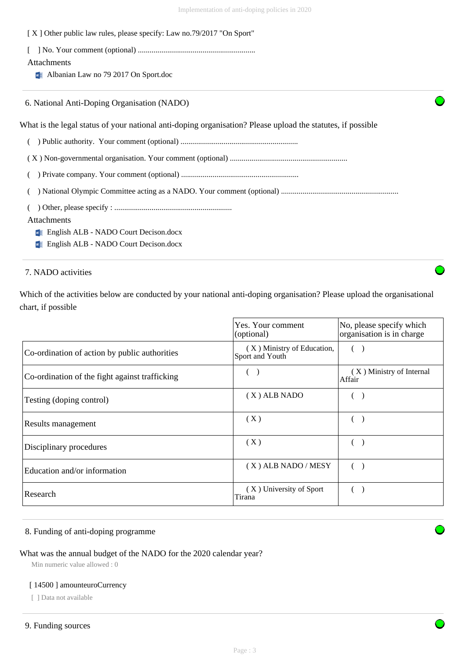| [X] Other public law rules, please specify: Law no.79/2017 "On Sport"                                       |  |
|-------------------------------------------------------------------------------------------------------------|--|
|                                                                                                             |  |
| <b>Attachments</b>                                                                                          |  |
| $\blacksquare$ Albanian Law no 79 2017 On Sport.doc                                                         |  |
| 6. National Anti-Doping Organisation (NADO)                                                                 |  |
| What is the legal status of your national anti-doping organisation? Please upload the statutes, if possible |  |
|                                                                                                             |  |
|                                                                                                             |  |
|                                                                                                             |  |
|                                                                                                             |  |
|                                                                                                             |  |
| <b>Attachments</b>                                                                                          |  |

**English ALB - NADO Court Decison.docx** 

**English ALB - NADO Court Decison.docx** 

# 7. NADO activities

Which of the activities below are conducted by your national anti-doping organisation? Please upload the organisational chart, if possible

|                                                | Yes. Your comment<br>(optional)               | No, please specify which<br>organisation is in charge |
|------------------------------------------------|-----------------------------------------------|-------------------------------------------------------|
| Co-ordination of action by public authorities  | (X) Ministry of Education,<br>Sport and Youth |                                                       |
| Co-ordination of the fight against trafficking |                                               | (X) Ministry of Internal<br>Affair                    |
| Testing (doping control)                       | $(X)$ ALB NADO                                |                                                       |
| Results management                             | (X)                                           |                                                       |
| Disciplinary procedures                        | (X)                                           |                                                       |
| Education and/or information                   | $(X)$ ALB NADO / MESY                         |                                                       |
| Research                                       | (X) University of Sport<br>Tirana             |                                                       |

## 8. Funding of anti-doping programme

# What was the annual budget of the NADO for the 2020 calendar year?

Min numeric value allowed : 0

#### [ 14500 ] amounteuroCurrency

[ ] Data not available

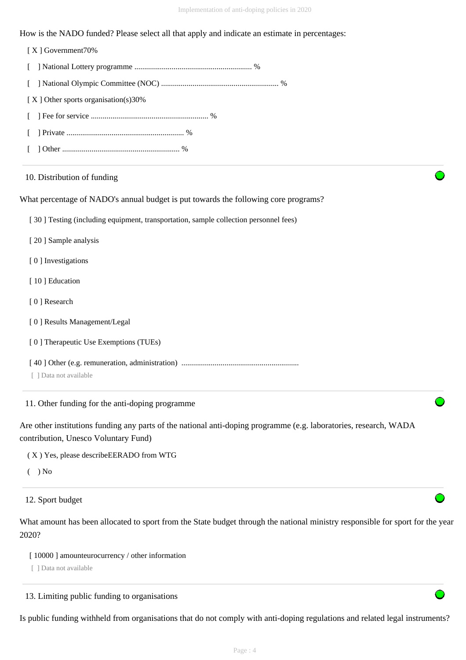How is the NADO funded? Please select all that apply and indicate an estimate in percentages:

 [ X ] Government70% [ ] National Lottery programme ............................................................ % [ ] National Olympic Committee (NOC) ............................................................ % [ X ] Other sports organisation(s)30% [ ] Fee for service ............................................................ % [ ] Private ............................................................ % [ ] Other ............................................................ %

#### 10. Distribution of funding

What percentage of NADO's annual budget is put towards the following core programs?

[ 30 ] Testing (including equipment, transportation, sample collection personnel fees)

- [ 20 ] Sample analysis
- [0] Investigations
- [ 10 ] Education
- [ 0 ] Research
- [ 0 ] Results Management/Legal
- [ 0 ] Therapeutic Use Exemptions (TUEs)
- [ 40 ] Other (e.g. remuneration, administration) ............................................................
- [ ] Data not available

11. Other funding for the anti-doping programme

Are other institutions funding any parts of the national anti-doping programme (e.g. laboratories, research, WADA contribution, Unesco Voluntary Fund)

( X ) Yes, please describeEERADO from WTG

 $($   $)$  No

12. Sport budget

What amount has been allocated to sport from the State budget through the national ministry responsible for sport for the year 2020?

[ $10000$ ] amounteurocurrency / other information

[ ] Data not available

13. Limiting public funding to organisations

Is public funding withheld from organisations that do not comply with anti-doping regulations and related legal instruments?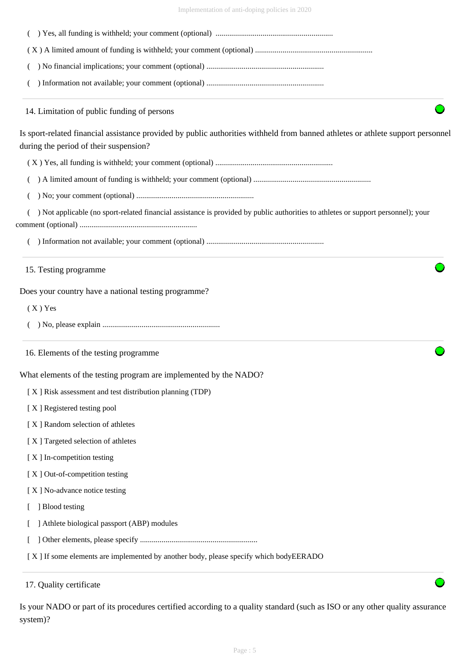| Implementation of anti-doping policies in 2020 |  |  |  |
|------------------------------------------------|--|--|--|
|                                                |  |  |  |

| 14. Limitation of public funding of persons                                                                                                                               |  |
|---------------------------------------------------------------------------------------------------------------------------------------------------------------------------|--|
| Is sport-related financial assistance provided by public authorities withheld from banned athletes or athlete support personnel<br>during the period of their suspension? |  |
|                                                                                                                                                                           |  |
|                                                                                                                                                                           |  |
|                                                                                                                                                                           |  |
| ) Not applicable (no sport-related financial assistance is provided by public authorities to athletes or support personnel); your                                         |  |
|                                                                                                                                                                           |  |
| 15. Testing programme                                                                                                                                                     |  |
| Does your country have a national testing programme?                                                                                                                      |  |
| $(X)$ Yes                                                                                                                                                                 |  |
|                                                                                                                                                                           |  |
| 16. Elements of the testing programme                                                                                                                                     |  |
| What elements of the testing program are implemented by the NADO?                                                                                                         |  |
| [X] Risk assessment and test distribution planning (TDP)                                                                                                                  |  |
| [X] Registered testing pool                                                                                                                                               |  |
| [X] Random selection of athletes                                                                                                                                          |  |
| [X] Targeted selection of athletes                                                                                                                                        |  |
| [X] In-competition testing                                                                                                                                                |  |
| [X] Out-of-competition testing                                                                                                                                            |  |
| [X] No-advance notice testing                                                                                                                                             |  |
| ] Blood testing                                                                                                                                                           |  |
| Athlete biological passport (ABP) modules                                                                                                                                 |  |
|                                                                                                                                                                           |  |

17. Quality certificate

Is your NADO or part of its procedures certified according to a quality standard (such as ISO or any other quality assurance system)?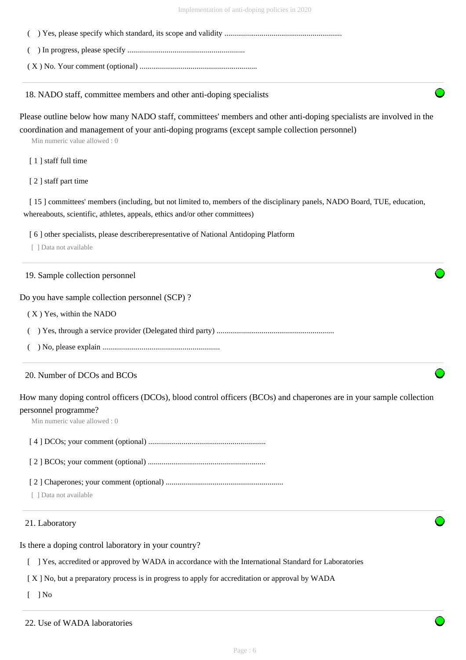( ) In progress, please specify ............................................................

( X ) No. Your comment (optional) ............................................................

18. NADO staff, committee members and other anti-doping specialists

Please outline below how many NADO staff, committees' members and other anti-doping specialists are involved in the coordination and management of your anti-doping programs (except sample collection personnel)

Min numeric value allowed : 0

[ 1 ] staff full time

[ 2 ] staff part time

[ 15 ] committees' members (including, but not limited to, members of the disciplinary panels, NADO Board, TUE, education, whereabouts, scientific, athletes, appeals, ethics and/or other committees)

[ 6 ] other specialists, please describerepresentative of National Antidoping Platform

[ ] Data not available

#### 19. Sample collection personnel

Do you have sample collection personnel (SCP) ?

( X ) Yes, within the NADO

( ) Yes, through a service provider (Delegated third party) ............................................................

( ) No, please explain ............................................................

#### 20. Number of DCOs and BCOs

How many doping control officers (DCOs), blood control officers (BCOs) and chaperones are in your sample collection personnel programme?

Min numeric value allowed : 0

[ 4 ] DCOs; your comment (optional) ............................................................

[ 2 ] BCOs; your comment (optional) ............................................................

[ 2 ] Chaperones; your comment (optional) ............................................................

[ ] Data not available

#### 21. Laboratory

Is there a doping control laboratory in your country?

[ ] Yes, accredited or approved by WADA in accordance with the International Standard for Laboratories

[ X ] No, but a preparatory process is in progress to apply for accreditation or approval by WADA

 $[1]$  No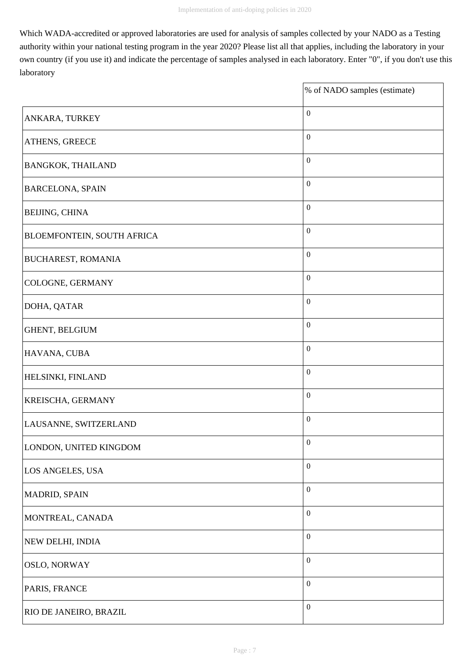Which WADA-accredited or approved laboratories are used for analysis of samples collected by your NADO as a Testing authority within your national testing program in the year 2020? Please list all that applies, including the laboratory in your own country (if you use it) and indicate the percentage of samples analysed in each laboratory. Enter "0", if you don't use this laboratory

 $\overline{\phantom{a}}$ 

|                                   | % of NADO samples (estimate) |
|-----------------------------------|------------------------------|
| ANKARA, TURKEY                    | $\boldsymbol{0}$             |
| ATHENS, GREECE                    | $\boldsymbol{0}$             |
| <b>BANGKOK, THAILAND</b>          | $\boldsymbol{0}$             |
| <b>BARCELONA, SPAIN</b>           | $\boldsymbol{0}$             |
| <b>BEIJING, CHINA</b>             | $\boldsymbol{0}$             |
| <b>BLOEMFONTEIN, SOUTH AFRICA</b> | $\boldsymbol{0}$             |
| <b>BUCHAREST, ROMANIA</b>         | $\boldsymbol{0}$             |
| COLOGNE, GERMANY                  | $\boldsymbol{0}$             |
| DOHA, QATAR                       | $\boldsymbol{0}$             |
| GHENT, BELGIUM                    | $\boldsymbol{0}$             |
| HAVANA, CUBA                      | $\boldsymbol{0}$             |
| HELSINKI, FINLAND                 | $\boldsymbol{0}$             |
| KREISCHA, GERMANY                 | $\boldsymbol{0}$             |
| LAUSANNE, SWITZERLAND             | $\boldsymbol{0}$             |
| LONDON, UNITED KINGDOM            | $\boldsymbol{0}$             |
| LOS ANGELES, USA                  | $\boldsymbol{0}$             |
| MADRID, SPAIN                     | $\boldsymbol{0}$             |
| MONTREAL, CANADA                  | $\boldsymbol{0}$             |
| NEW DELHI, INDIA                  | $\boldsymbol{0}$             |
| OSLO, NORWAY                      | $\boldsymbol{0}$             |
| PARIS, FRANCE                     | $\boldsymbol{0}$             |
| RIO DE JANEIRO, BRAZIL            | $\boldsymbol{0}$             |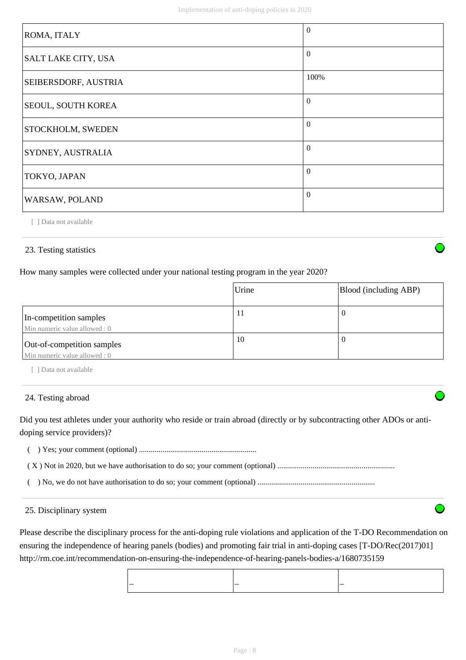| ROMA, ITALY                 | $\Omega$       |
|-----------------------------|----------------|
| SALT LAKE CITY, USA         | $\Omega$       |
| <b>SEIBERSDORF, AUSTRIA</b> | 100%           |
| <b>SEOUL, SOUTH KOREA</b>   | $\overline{0}$ |
| <b>STOCKHOLM, SWEDEN</b>    | $\Omega$       |
| SYDNEY, AUSTRALIA           | $\theta$       |
| TOKYO, JAPAN                | $\Omega$       |
| WARSAW, POLAND              | $\Omega$       |

[ ] Data not available

## 23. Testing statistics

## How many samples were collected under your national testing program in the year 2020?

|                                                             | Urine | Blood (including ABP) |
|-------------------------------------------------------------|-------|-----------------------|
| In-competition samples<br>Min numeric value allowed: 0      | 11    |                       |
| Out-of-competition samples<br>Min numeric value allowed : 0 | 10    |                       |

[ ] Data not available

#### 24. Testing abroad

Did you test athletes under your authority who reside or train abroad (directly or by subcontracting other ADOs or antidoping service providers)?

( ) Yes; your comment (optional) ............................................................

( X ) Not in 2020, but we have authorisation to do so; your comment (optional) ............................................................

( ) No, we do not have authorisation to do so; your comment (optional) ............................................................

#### 25. Disciplinary system

Please describe the disciplinary process for the anti-doping rule violations and application of the T-DO Recommendation on ensuring the independence of hearing panels (bodies) and promoting fair trial in anti-doping cases [T-DO/Rec(2017)01] http://rm.coe.int/recommendation-on-ensuring-the-independence-of-hearing-panels-bodies-a/1680735159

| $\overline{\phantom{a}}$<br>$\overline{\phantom{a}}$<br>__ |  |
|------------------------------------------------------------|--|
|                                                            |  |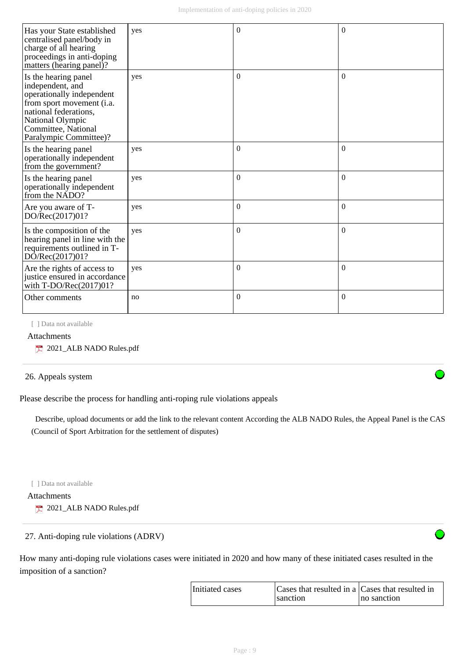| Has your State established<br>centralised panel/body in<br>charge of all hearing<br>proceedings in anti-doping<br>matters (hearing panel)?                                                       | yes | $\Omega$         | $\Omega$ |
|--------------------------------------------------------------------------------------------------------------------------------------------------------------------------------------------------|-----|------------------|----------|
| Is the hearing panel<br>independent, and<br>operationally independent<br>from sport movement (i.a.<br>national federations.<br>National Olympic<br>Committee, National<br>Paralympic Committee)? | yes | $\Omega$         | $\Omega$ |
| Is the hearing panel<br>operationally independent<br>from the government?                                                                                                                        | yes | $\boldsymbol{0}$ | $\Omega$ |
| Is the hearing panel<br>operationally independent<br>from the NADO?                                                                                                                              | yes | $\Omega$         | $\Omega$ |
| Are you aware of T-<br>DO/Rec(2017)01?                                                                                                                                                           | yes | $\boldsymbol{0}$ | $\theta$ |
| Is the composition of the<br>hearing panel in line with the<br>requirements outlined in T-<br>DO/Rec(2017)01?                                                                                    | yes | $\boldsymbol{0}$ | $\Omega$ |
| Are the rights of access to<br>justice ensured in accordance<br>with T-DO/Rec(2017)01?                                                                                                           | yes | $\mathbf{0}$     | $\theta$ |
| Other comments                                                                                                                                                                                   | no  | $\boldsymbol{0}$ | $\theta$ |

[ ] Data not available

#### Attachments

2021\_ALB NADO Rules.pdf

#### 26. Appeals system

Please describe the process for handling anti-roping rule violations appeals

 Describe, upload documents or add the link to the relevant content According the ALB NADO Rules, the Appeal Panel is the CAS (Council of Sport Arbitration for the settlement of disputes)

[ ] Data not available

Attachments

2021\_ALB NADO Rules.pdf

# 27. Anti-doping rule violations (ADRV)

How many anti-doping rule violations cases were initiated in 2020 and how many of these initiated cases resulted in the imposition of a sanction?

| Initiated cases | Cases that resulted in a Cases that resulted in |             |
|-----------------|-------------------------------------------------|-------------|
|                 | sanction                                        | no sanction |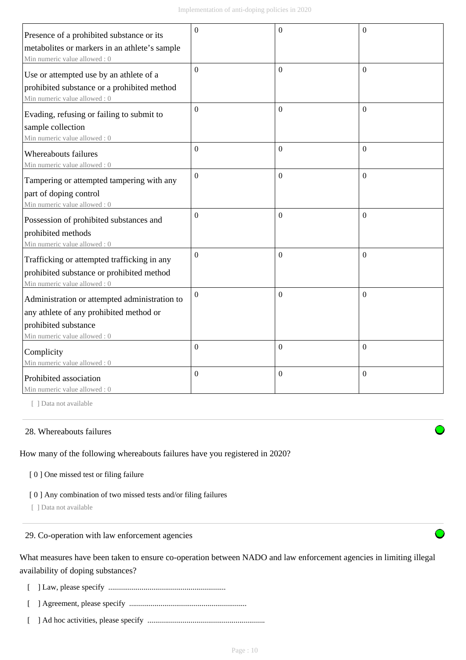|                                               | $\theta$         | $\overline{0}$   | $\theta$         |
|-----------------------------------------------|------------------|------------------|------------------|
| Presence of a prohibited substance or its     |                  |                  |                  |
| metabolites or markers in an athlete's sample |                  |                  |                  |
| Min numeric value allowed: 0                  | $\mathbf{0}$     | $\mathbf{0}$     | $\Omega$         |
| Use or attempted use by an athlete of a       |                  |                  |                  |
| prohibited substance or a prohibited method   |                  |                  |                  |
| Min numeric value allowed: 0                  |                  |                  |                  |
| Evading, refusing or failing to submit to     | $\boldsymbol{0}$ | $\Omega$         | $\theta$         |
| sample collection                             |                  |                  |                  |
| Min numeric value allowed: 0                  |                  |                  |                  |
| Whereabouts failures                          | $\overline{0}$   | $\mathbf{0}$     | $\theta$         |
| Min numeric value allowed: 0                  |                  |                  |                  |
| Tampering or attempted tampering with any     | $\boldsymbol{0}$ | $\mathbf{0}$     | $\theta$         |
| part of doping control                        |                  |                  |                  |
| Min numeric value allowed: 0                  |                  |                  |                  |
| Possession of prohibited substances and       | $\boldsymbol{0}$ | $\boldsymbol{0}$ | $\theta$         |
| prohibited methods                            |                  |                  |                  |
| Min numeric value allowed: 0                  |                  |                  |                  |
| Trafficking or attempted trafficking in any   | $\overline{0}$   | $\overline{0}$   | $\Omega$         |
| prohibited substance or prohibited method     |                  |                  |                  |
| Min numeric value allowed: 0                  |                  |                  |                  |
| Administration or attempted administration to | $\mathbf{0}$     | $\mathbf{0}$     | $\Omega$         |
| any athlete of any prohibited method or       |                  |                  |                  |
| prohibited substance                          |                  |                  |                  |
| Min numeric value allowed: 0                  |                  |                  |                  |
| Complicity                                    | $\boldsymbol{0}$ | $\boldsymbol{0}$ | $\theta$         |
| Min numeric value allowed: 0                  |                  |                  |                  |
| Prohibited association                        | $\boldsymbol{0}$ | $\boldsymbol{0}$ | $\boldsymbol{0}$ |
| Min numeric value allowed: 0                  |                  |                  |                  |

[ ] Data not available

#### 28. Whereabouts failures

How many of the following whereabouts failures have you registered in 2020?

[ 0 ] One missed test or filing failure

[ 0 ] Any combination of two missed tests and/or filing failures

[ ] Data not available

## 29. Co-operation with law enforcement agencies

What measures have been taken to ensure co-operation between NADO and law enforcement agencies in limiting illegal availability of doping substances?

[ ] Law, please specify ............................................................

- [ ] Agreement, please specify ............................................................
- [ ] Ad hoc activities, please specify ............................................................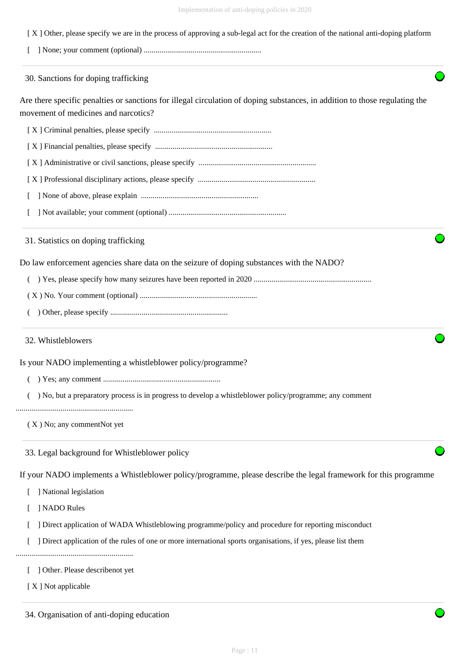- [ X ] Other, please specify we are in the process of approving a sub-legal act for the creation of the national anti-doping platform
- [ ] None; your comment (optional) ............................................................

30. Sanctions for doping trafficking

Are there specific penalties or sanctions for illegal circulation of doping substances, in addition to those regulating the movement of medicines and narcotics?

[ X ] Criminal penalties, please specify ............................................................

[ X ] Financial penalties, please specify ............................................................

- [ X ] Administrative or civil sanctions, please specify ............................................................
- [ X ] Professional disciplinary actions, please specify ............................................................
- [ ] None of above, please explain ............................................................
- [ ] Not available; your comment (optional) ............................................................

31. Statistics on doping trafficking

Do law enforcement agencies share data on the seizure of doping substances with the NADO?

- ( ) Yes, please specify how many seizures have been reported in 2020 ............................................................
- ( X ) No. Your comment (optional) ............................................................
- ( ) Other, please specify ............................................................

32. Whistleblowers

Is your NADO implementing a whistleblower policy/programme?

- ( ) Yes; any comment ............................................................
- ( ) No, but a preparatory process is in progress to develop a whistleblower policy/programme; any comment

............................................................

( X ) No; any commentNot yet

33. Legal background for Whistleblower policy

If your NADO implements a Whistleblower policy/programme, please describe the legal framework for this programme

[ ] National legislation

[ ] NADO Rules

- [ ] Direct application of WADA Whistleblowing programme/policy and procedure for reporting misconduct
- [ ] Direct application of the rules of one or more international sports organisations, if yes, please list them

............................................................

- [ ] Other. Please describenot yet
- [ X ] Not applicable

34. Organisation of anti-doping education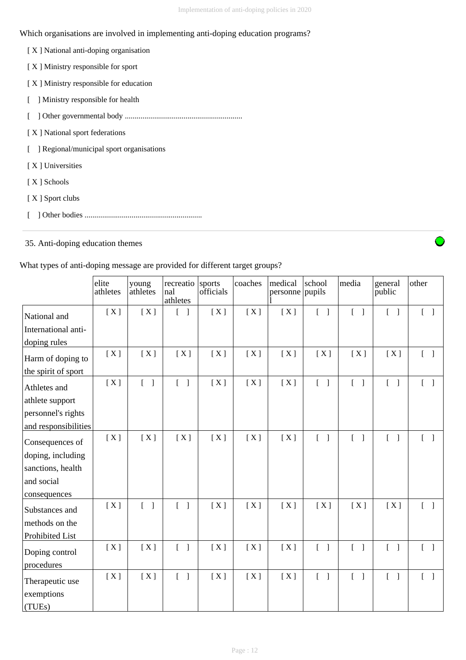# Which organisations are involved in implementing anti-doping education programs?

| [X] National anti-doping organisation  |
|----------------------------------------|
| [X] Ministry responsible for sport     |
| [X] Ministry responsible for education |
| Ministry responsible for health        |
|                                        |
| [X] National sport federations         |
| Regional/municipal sport organisations |
| [X] Universities                       |
| [X ] Schools                           |
| [X ] Sport clubs                       |
|                                        |

# 35. Anti-doping education themes

## What types of anti-doping message are provided for different target groups?

|                      | elite<br>athletes | young<br>athletes                 | recreatio<br>nal<br>athletes      | sports<br>officials | coaches | medical<br>personne pupils | school                            | media                                 | general<br>public                 | other                             |
|----------------------|-------------------|-----------------------------------|-----------------------------------|---------------------|---------|----------------------------|-----------------------------------|---------------------------------------|-----------------------------------|-----------------------------------|
| National and         | [X]               | [X]                               | $\begin{bmatrix} 1 \end{bmatrix}$ | [X]                 | [X]     | [X]                        | $\begin{bmatrix} 1 \end{bmatrix}$ | $\begin{bmatrix} 1 \end{bmatrix}$     | $\begin{bmatrix} 1 \end{bmatrix}$ | $\begin{bmatrix} 1 \end{bmatrix}$ |
| International anti-  |                   |                                   |                                   |                     |         |                            |                                   |                                       |                                   |                                   |
| doping rules         |                   |                                   |                                   |                     |         |                            |                                   |                                       |                                   |                                   |
| Harm of doping to    | [X]               | [X]                               | [X]                               | [X]                 | [X]     | [X]                        | [X]                               | [X]                                   | [X]                               |                                   |
| the spirit of sport  |                   |                                   |                                   |                     |         |                            |                                   |                                       |                                   |                                   |
| Athletes and         | [X]               | $[\quad]$                         | $\begin{bmatrix} 1 \end{bmatrix}$ | [X]                 | [X]     | [X]                        | $[ \ ]$                           | $\begin{bmatrix} 1 \end{bmatrix}$     | $\begin{bmatrix} 1 \end{bmatrix}$ | $[ \ ]$                           |
| athlete support      |                   |                                   |                                   |                     |         |                            |                                   |                                       |                                   |                                   |
| personnel's rights   |                   |                                   |                                   |                     |         |                            |                                   |                                       |                                   |                                   |
| and responsibilities |                   |                                   |                                   |                     |         |                            |                                   |                                       |                                   |                                   |
| Consequences of      | [X]               | [X]                               | [X]                               | [X]                 | [X]     | [X]                        | $[ \ ]$                           | $\begin{bmatrix} 1 & 1 \end{bmatrix}$ | $\begin{bmatrix} 1 \end{bmatrix}$ |                                   |
| doping, including    |                   |                                   |                                   |                     |         |                            |                                   |                                       |                                   |                                   |
| sanctions, health    |                   |                                   |                                   |                     |         |                            |                                   |                                       |                                   |                                   |
| and social           |                   |                                   |                                   |                     |         |                            |                                   |                                       |                                   |                                   |
| consequences         |                   |                                   |                                   |                     |         |                            |                                   |                                       |                                   |                                   |
| Substances and       | [X]               | $\begin{bmatrix} 1 \end{bmatrix}$ | $\begin{bmatrix} 1 \end{bmatrix}$ | [X]                 | [X]     | [X]                        | [X]                               | [X]                                   | [X]                               | $\lceil \cdot \rceil$             |
| methods on the       |                   |                                   |                                   |                     |         |                            |                                   |                                       |                                   |                                   |
| Prohibited List      |                   |                                   |                                   |                     |         |                            |                                   |                                       |                                   |                                   |
| Doping control       | [X]               | [X]                               | $\begin{bmatrix} 1 \end{bmatrix}$ | [X]                 | [X]     | [X]                        | $\begin{bmatrix} 1 \end{bmatrix}$ | $\begin{bmatrix} 1 \end{bmatrix}$     | $\begin{bmatrix} 1 \end{bmatrix}$ | $\begin{bmatrix} 1 \end{bmatrix}$ |
| procedures           |                   |                                   |                                   |                     |         |                            |                                   |                                       |                                   |                                   |
| Therapeutic use      | [X]               | [X]                               | $\lceil \cdot \rceil$             | [X]                 | [X]     | [X]                        | $\begin{bmatrix} 1 \end{bmatrix}$ | $\lceil \cdot \rceil$                 | $\lceil \rceil$                   | $\begin{bmatrix} 1 \end{bmatrix}$ |
| exemptions           |                   |                                   |                                   |                     |         |                            |                                   |                                       |                                   |                                   |
| (TUEs)               |                   |                                   |                                   |                     |         |                            |                                   |                                       |                                   |                                   |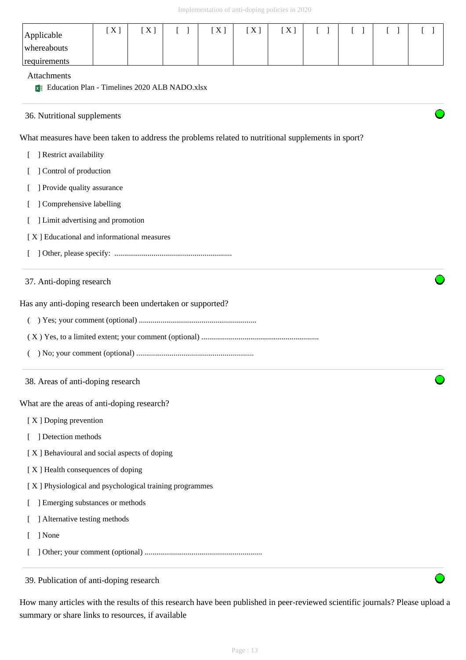| Applicable<br>whereabouts<br>requirements                                                          | [X] | [X] | $[\quad]$ | [X] | [X] | [X] | $\begin{bmatrix} 1 \end{bmatrix}$ | T. | $\left[ \right]$ |  |
|----------------------------------------------------------------------------------------------------|-----|-----|-----------|-----|-----|-----|-----------------------------------|----|------------------|--|
| Attachments<br>Education Plan - Timelines 2020 ALB NADO.xlsx                                       |     |     |           |     |     |     |                                   |    |                  |  |
| 36. Nutritional supplements                                                                        |     |     |           |     |     |     |                                   |    |                  |  |
| What measures have been taken to address the problems related to nutritional supplements in sport? |     |     |           |     |     |     |                                   |    |                  |  |
| ] Restrict availability                                                                            |     |     |           |     |     |     |                                   |    |                  |  |
| Control of production                                                                              |     |     |           |     |     |     |                                   |    |                  |  |
| ] Provide quality assurance                                                                        |     |     |           |     |     |     |                                   |    |                  |  |
| Comprehensive labelling                                                                            |     |     |           |     |     |     |                                   |    |                  |  |
| ] Limit advertising and promotion                                                                  |     |     |           |     |     |     |                                   |    |                  |  |
| [X] Educational and informational measures                                                         |     |     |           |     |     |     |                                   |    |                  |  |
|                                                                                                    |     |     |           |     |     |     |                                   |    |                  |  |
| Has any anti-doping research been undertaken or supported?                                         |     |     |           |     |     |     |                                   |    |                  |  |
|                                                                                                    |     |     |           |     |     |     |                                   |    |                  |  |
| 38. Areas of anti-doping research                                                                  |     |     |           |     |     |     |                                   |    |                  |  |
| What are the areas of anti-doping research?                                                        |     |     |           |     |     |     |                                   |    |                  |  |
| [X] Doping prevention                                                                              |     |     |           |     |     |     |                                   |    |                  |  |
| ] Detection methods                                                                                |     |     |           |     |     |     |                                   |    |                  |  |
| [X] Behavioural and social aspects of doping                                                       |     |     |           |     |     |     |                                   |    |                  |  |
| [X] Health consequences of doping                                                                  |     |     |           |     |     |     |                                   |    |                  |  |
| [X] Physiological and psychological training programmes                                            |     |     |           |     |     |     |                                   |    |                  |  |
| ] Emerging substances or methods                                                                   |     |     |           |     |     |     |                                   |    |                  |  |
| ] Alternative testing methods                                                                      |     |     |           |     |     |     |                                   |    |                  |  |
| ] None                                                                                             |     |     |           |     |     |     |                                   |    |                  |  |

39. Publication of anti-doping research

How many articles with the results of this research have been published in peer-reviewed scientific journals? Please upload a summary or share links to resources, if available